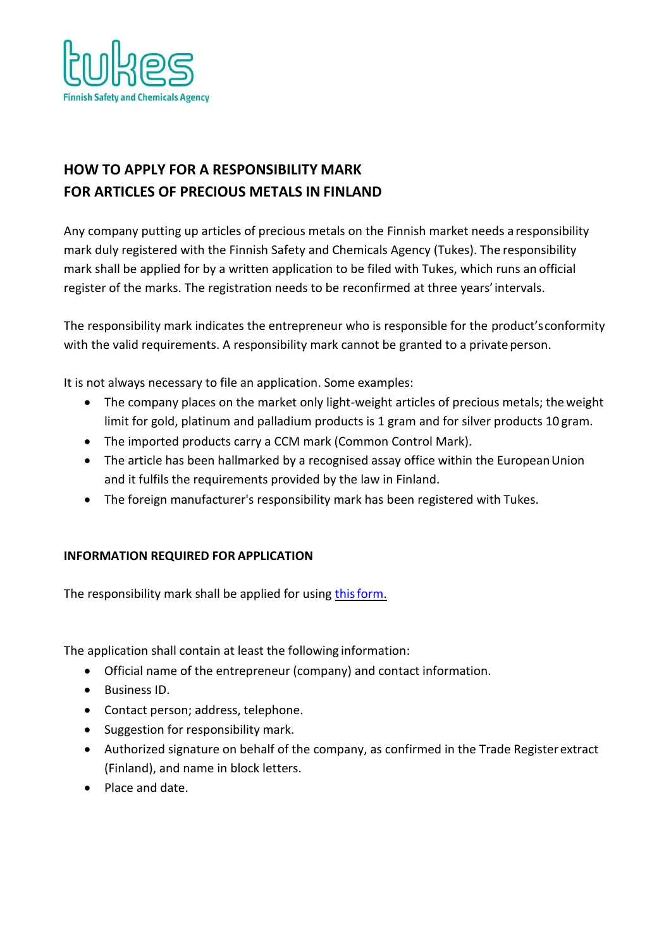

# **HOW TO APPLY FOR A RESPONSIBILITY MARK FOR ARTICLES OF PRECIOUS METALS IN FINLAND**

Any company putting up articles of precious metals on the Finnish market needs a responsibility mark duly registered with the Finnish Safety and Chemicals Agency (Tukes). The responsibility mark shall be applied for by a written application to be filed with Tukes, which runs an official register of the marks. The registration needs to be reconfirmed at three years'intervals.

The responsibility mark indicates the entrepreneur who is responsible for the product'sconformity with the valid requirements. A responsibility mark cannot be granted to a private person.

It is not always necessary to file an application. Some examples:

- The company places on the market only light-weight articles of precious metals; theweight limit for gold, platinum and palladium products is 1 gram and for silver products 10 gram.
- The imported products carry a CCM mark (Common Control Mark).
- The article has been hallmarked by a recognised assay office within the European Union and it fulfils the requirements provided by the law in Finland.
- The foreign manufacturer's responsibility mark has been registered with Tukes.

## **INFORMATION REQUIRED FOR APPLICATION**

The responsibility mark shall be applied for using this form.

The application shall contain at least the following information:

- Official name of the entrepreneur (company) and contact information.
- Business ID.
- Contact person; address, telephone.
- Suggestion for responsibility mark.
- Authorized signature on behalf of the company, as confirmed in the Trade Registerextract (Finland), and name in block letters.
- Place and date.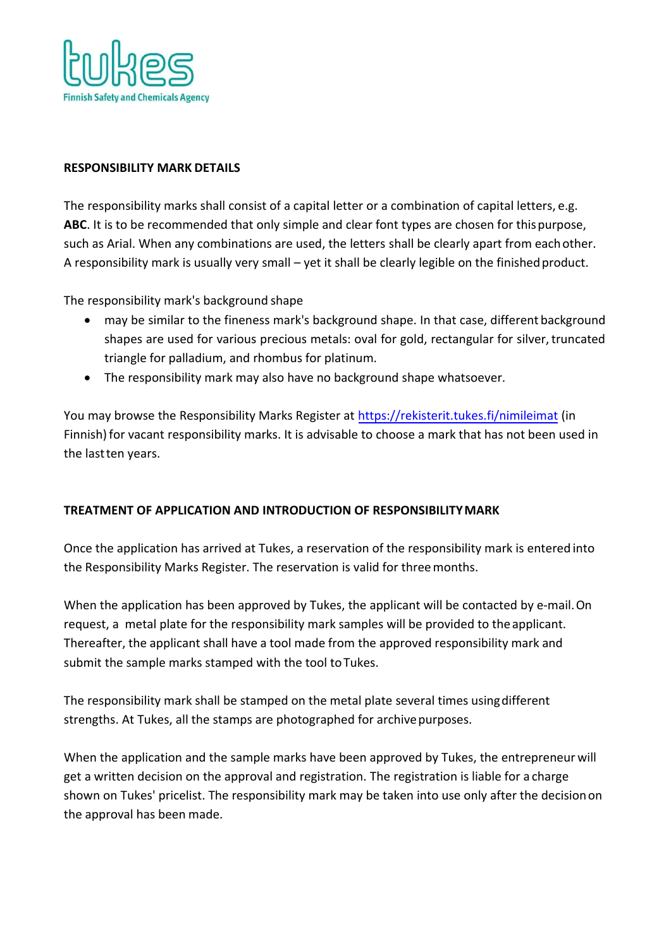

#### **RESPONSIBILITY MARK DETAILS**

The responsibility marks shall consist of a capital letter or a combination of capital letters, e.g. **ABC**. It is to be recommended that only simple and clear font types are chosen for thispurpose, such as Arial. When any combinations are used, the letters shall be clearly apart from eachother. A responsibility mark is usually very small – yet it shall be clearly legible on the finishedproduct.

The responsibility mark's background shape

- may be similar to the fineness mark's background shape. In that case, different background shapes are used for various precious metals: oval for gold, rectangular for silver, truncated triangle for palladium, and rhombus for platinum.
- The responsibility mark may also have no background shape whatsoever.

You may browse the Responsibility Marks Register at [https://rekisterit.tukes.fi/n](http://nimileima.tukes.fi/)imileimat (in Finnish) for vacant responsibility marks. It is advisable to choose a mark that has not been used in the last ten years.

# **TREATMENT OF APPLICATION AND INTRODUCTION OF RESPONSIBILITY MARK**

Once the application has arrived at Tukes, a reservation of the responsibility mark is entered into the Responsibility Marks Register. The reservation is valid for three months.

When the application has been approved by Tukes, the applicant will be contacted by e-mail. On request, a metal plate for the responsibility mark samples will be provided to the applicant. Thereafter, the applicant shall have a tool made from the approved responsibility mark and submit the sample marks stamped with the tool to Tukes.

The responsibility mark shall be stamped on the metal plate several times using different strengths. At Tukes, all the stamps are photographed for archive purposes.

When the application and the sample marks have been approved by Tukes, the entrepreneur will get a written decision on the approval and registration. The registration is liable for a charge shown on Tukes' pricelist. The responsibility mark may be taken into use only after the decision on the approval has been made.